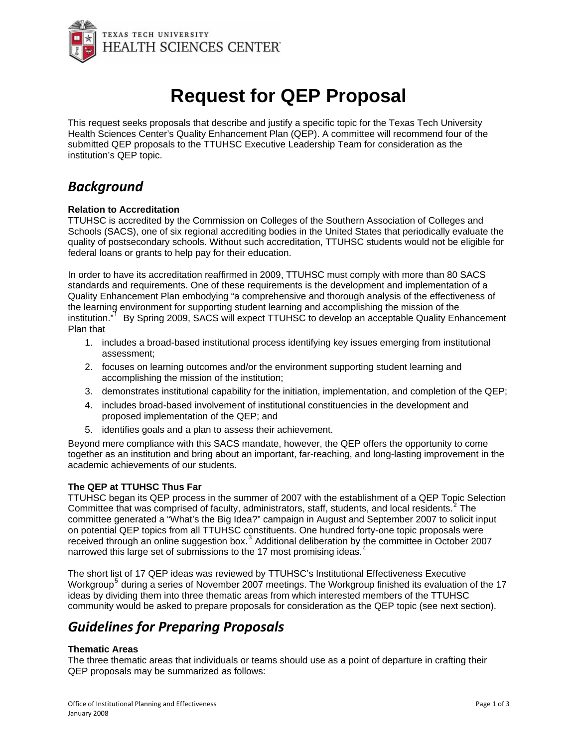

# **Request for QEP Proposal**

This request seeks proposals that describe and justify a specific topic for the Texas Tech University Health Sciences Center's Quality Enhancement Plan (QEP). A committee will recommend four of the submitted QEP proposals to the TTUHSC Executive Leadership Team for consideration as the institution's QEP topic.

## *Background*

#### **Relation to Accreditation**

TTUHSC is accredited by the Commission on Colleges of the Southern Association of Colleges and Schools (SACS), one of six regional accrediting bodies in the United States that periodically evaluate the quality of postsecondary schools. Without such accreditation, TTUHSC students would not be eligible for federal loans or grants to help pay for their education.

In order to have its accreditation reaffirmed in 2009, TTUHSC must comply with more than 80 SACS standards and requirements. One of these requirements is the development and implementation of a Quality Enhancement Plan embodying "a comprehensive and thorough analysis of the effectiveness of the learning environment for supporting student learning and accomplishing the mission of the institution." By Spring 2009, SACS will expect TTUHSC to develop an acceptable Quality Enhancement Plan that

- 1. includes a broad-based institutional process identifying key issues emerging from institutional assessment;
- 2. focuses on learning outcomes and/or the environment supporting student learning and accomplishing the mission of the institution;
- 3. demonstrates institutional capability for the initiation, implementation, and completion of the QEP;
- 4. includes broad-based involvement of institutional constituencies in the development and proposed implementation of the QEP; and
- 5. identifies goals and a plan to assess their achievement.

Beyond mere compliance with this SACS mandate, however, the QEP offers the opportunity to come together as an institution and bring about an important, far-reaching, and long-lasting improvement in the academic achievements of our students.

#### **The QEP at TTUHSC Thus Far**

TTUHSC began its QEP process in the summer of 2007 with the establishment of a QEP Topic Selection Committee that was comprised of faculty, administrators, staff, students, and local residents.<sup>[2](#page-2-1)</sup> The committee generated a "What's the Big Idea?" campaign in August and September 2007 to solicit input on potential QEP topics from all TTUHSC constituents. One hundred forty-one topic proposals were received through an online suggestion box.<sup>[3](#page-2-1)</sup> Additional deliberation by the committee in October 2007 narrowed this large set of submissions to the 17 most promising ideas.<sup>[4](#page-2-1)</sup>

The short list of 17 QEP ideas was reviewed by TTUHSC's Institutional Effectiveness Executive Workgroup<sup>[5](#page-2-1)</sup> during a series of November 2007 meetings. The Workgroup finished its evaluation of the 17 ideas by dividing them into three thematic areas from which interested members of the TTUHSC community would be asked to prepare proposals for consideration as the QEP topic (see next section).

### *Guidelines for Preparing Proposals*

#### **Thematic Areas**

The three thematic areas that individuals or teams should use as a point of departure in crafting their QEP proposals may be summarized as follows: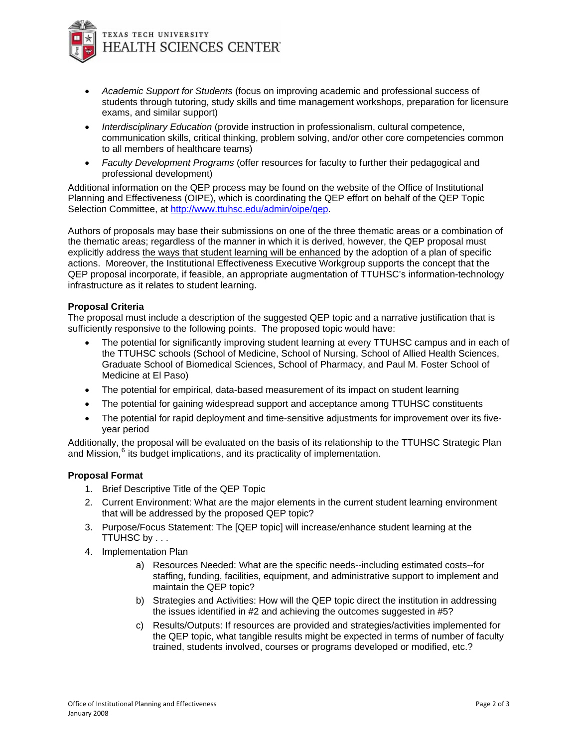

- *Academic Support for Students* (focus on improving academic and professional success of students through tutoring, study skills and time management workshops, preparation for licensure exams, and similar support)
- *Interdisciplinary Education* (provide instruction in professionalism, cultural competence, communication skills, critical thinking, problem solving, and/or other core competencies common to all members of healthcare teams)
- *Faculty Development Programs* (offer resources for faculty to further their pedagogical and professional development)

Additional information on the QEP process may be found on the website of the Office of Institutional Planning and Effectiveness (OIPE), which is coordinating the QEP effort on behalf of the QEP Topic Selection Committee, at http://www.ttuhsc.edu/admin/oipe/gep.

Authors of proposals may base their submissions on one of the three thematic areas or a combination of the thematic areas; regardless of the manner in which it is derived, however, the QEP proposal must explicitly address the ways that student learning will be enhanced by the adoption of a plan of specific actions. Moreover, the Institutional Effectiveness Executive Workgroup supports the concept that the QEP proposal incorporate, if feasible, an appropriate augmentation of TTUHSC's information-technology infrastructure as it relates to student learning.

#### **Proposal Criteria**

The proposal must include a description of the suggested QEP topic and a narrative justification that is sufficiently responsive to the following points. The proposed topic would have:

- The potential for significantly improving student learning at every TTUHSC campus and in each of the TTUHSC schools (School of Medicine, School of Nursing, School of Allied Health Sciences, Graduate School of Biomedical Sciences, School of Pharmacy, and Paul M. Foster School of Medicine at El Paso)
- The potential for empirical, data-based measurement of its impact on student learning
- The potential for gaining widespread support and acceptance among TTUHSC constituents
- The potential for rapid deployment and time-sensitive adjustments for improvement over its fiveyear period

Additionally, the proposal will be evaluated on the basis of its relationship to the TTUHSC Strategic Plan and Mission, $<sup>6</sup>$  $<sup>6</sup>$  $<sup>6</sup>$  its budget implications, and its practicality of implementation.</sup>

#### **Proposal Format**

- 1. Brief Descriptive Title of the QEP Topic
- 2. Current Environment: What are the major elements in the current student learning environment that will be addressed by the proposed QEP topic?
- 3. Purpose/Focus Statement: The [QEP topic] will increase/enhance student learning at the TTUHSC by . . .
- 4. Implementation Plan
	- a) Resources Needed: What are the specific needs--including estimated costs--for staffing, funding, facilities, equipment, and administrative support to implement and maintain the QEP topic?
	- b) Strategies and Activities: How will the QEP topic direct the institution in addressing the issues identified in #2 and achieving the outcomes suggested in #5?
	- c) Results/Outputs: If resources are provided and strategies/activities implemented for the QEP topic, what tangible results might be expected in terms of number of faculty trained, students involved, courses or programs developed or modified, etc.?